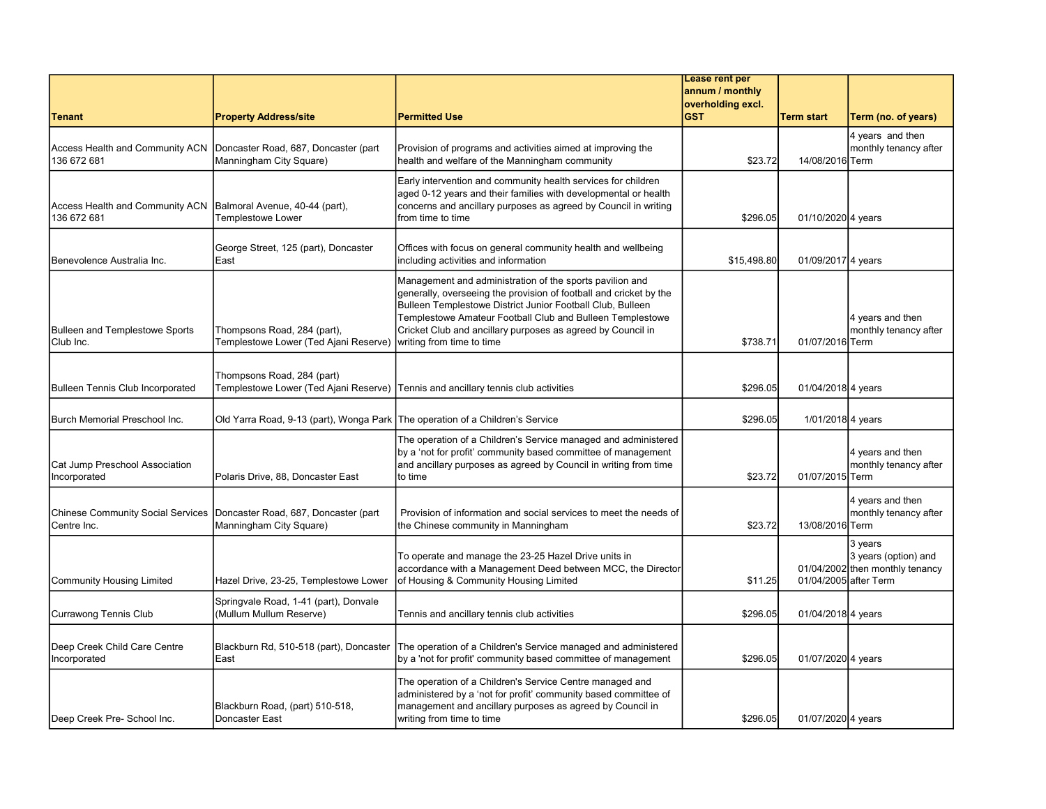|                                                                                 |                                                                      |                                                                                                                                                                                                                                                                                                                                                       | Lease rent per    |                       |                                                                    |
|---------------------------------------------------------------------------------|----------------------------------------------------------------------|-------------------------------------------------------------------------------------------------------------------------------------------------------------------------------------------------------------------------------------------------------------------------------------------------------------------------------------------------------|-------------------|-----------------------|--------------------------------------------------------------------|
|                                                                                 |                                                                      |                                                                                                                                                                                                                                                                                                                                                       | annum / monthly   |                       |                                                                    |
|                                                                                 |                                                                      |                                                                                                                                                                                                                                                                                                                                                       | overholding excl. |                       |                                                                    |
| <b>Tenant</b>                                                                   | <b>Property Address/site</b>                                         | <b>Permitted Use</b>                                                                                                                                                                                                                                                                                                                                  | <b>GST</b>        | <b>Term start</b>     | Term (no. of years)                                                |
| Access Health and Community ACN<br>136 672 681                                  | Doncaster Road, 687, Doncaster (part<br>Manningham City Square)      | Provision of programs and activities aimed at improving the<br>health and welfare of the Manningham community                                                                                                                                                                                                                                         | \$23.72           | 14/08/2016 Term       | 4 years and then<br>monthly tenancy after                          |
| Access Health and Community ACN   Balmoral Avenue, 40-44 (part),<br>136 672 681 | <b>Templestowe Lower</b>                                             | Early intervention and community health services for children<br>aged 0-12 years and their families with developmental or health<br>concerns and ancillary purposes as agreed by Council in writing<br>from time to time                                                                                                                              | \$296.05          | 01/10/2020 4 years    |                                                                    |
| Benevolence Australia Inc.                                                      | George Street, 125 (part), Doncaster<br>East                         | Offices with focus on general community health and wellbeing<br>including activities and information                                                                                                                                                                                                                                                  | \$15,498.80       | 01/09/2017 4 years    |                                                                    |
| <b>Bulleen and Templestowe Sports</b><br>Club Inc.                              | Thompsons Road, 284 (part),<br>Templestowe Lower (Ted Ajani Reserve) | Management and administration of the sports pavilion and<br>generally, overseeing the provision of football and cricket by the<br>Bulleen Templestowe District Junior Football Club, Bulleen<br>Templestowe Amateur Football Club and Bulleen Templestowe<br>Cricket Club and ancillary purposes as agreed by Council in<br>writing from time to time | \$738.71          | 01/07/2016 Term       | 4 years and then<br>monthly tenancy after                          |
| Bulleen Tennis Club Incorporated                                                | Thompsons Road, 284 (part)<br>Templestowe Lower (Ted Ajani Reserve)  | Tennis and ancillary tennis club activities                                                                                                                                                                                                                                                                                                           | \$296.05          | 01/04/2018 4 years    |                                                                    |
| <b>I</b> Burch Memorial Preschool Inc.                                          | Old Yarra Road, 9-13 (part), Wonga Park                              | The operation of a Children's Service                                                                                                                                                                                                                                                                                                                 | \$296.05          | 1/01/2018 4 years     |                                                                    |
| Cat Jump Preschool Association<br>Incorporated                                  | Polaris Drive, 88, Doncaster East                                    | The operation of a Children's Service managed and administered<br>by a 'not for profit' community based committee of management<br>and ancillary purposes as agreed by Council in writing from time<br>to time                                                                                                                                        | \$23.72           | 01/07/2015 Term       | 4 years and then<br>monthly tenancy after                          |
| <b>Chinese Community Social Services</b><br>Centre Inc.                         | Doncaster Road, 687, Doncaster (part<br>Manningham City Square)      | Provision of information and social services to meet the needs of<br>the Chinese community in Manningham                                                                                                                                                                                                                                              | \$23.72           | 13/08/2016 Term       | 4 years and then<br>monthly tenancy after                          |
| Community Housing Limited                                                       | Hazel Drive, 23-25, Templestowe Lower                                | To operate and manage the 23-25 Hazel Drive units in<br>accordance with a Management Deed between MCC, the Director<br>of Housing & Community Housing Limited                                                                                                                                                                                         | \$11.25           | 01/04/2005 after Term | 3 years<br>3 years (option) and<br>01/04/2002 then monthly tenancy |
| <b>Currawong Tennis Club</b>                                                    | Springvale Road, 1-41 (part), Donvale<br>(Mullum Mullum Reserve)     | Tennis and ancillary tennis club activities                                                                                                                                                                                                                                                                                                           | \$296.05          | 01/04/2018 4 years    |                                                                    |
| Deep Creek Child Care Centre<br>Incorporated                                    | Blackburn Rd, 510-518 (part), Doncaster<br>East                      | The operation of a Children's Service managed and administered<br>by a 'not for profit' community based committee of management                                                                                                                                                                                                                       | \$296.05          | 01/07/2020 4 years    |                                                                    |
| Deep Creek Pre- School Inc.                                                     | Blackburn Road, (part) 510-518,<br>Doncaster East                    | The operation of a Children's Service Centre managed and<br>administered by a 'not for profit' community based committee of<br>management and ancillary purposes as agreed by Council in<br>writing from time to time                                                                                                                                 | \$296.05          | 01/07/2020 4 years    |                                                                    |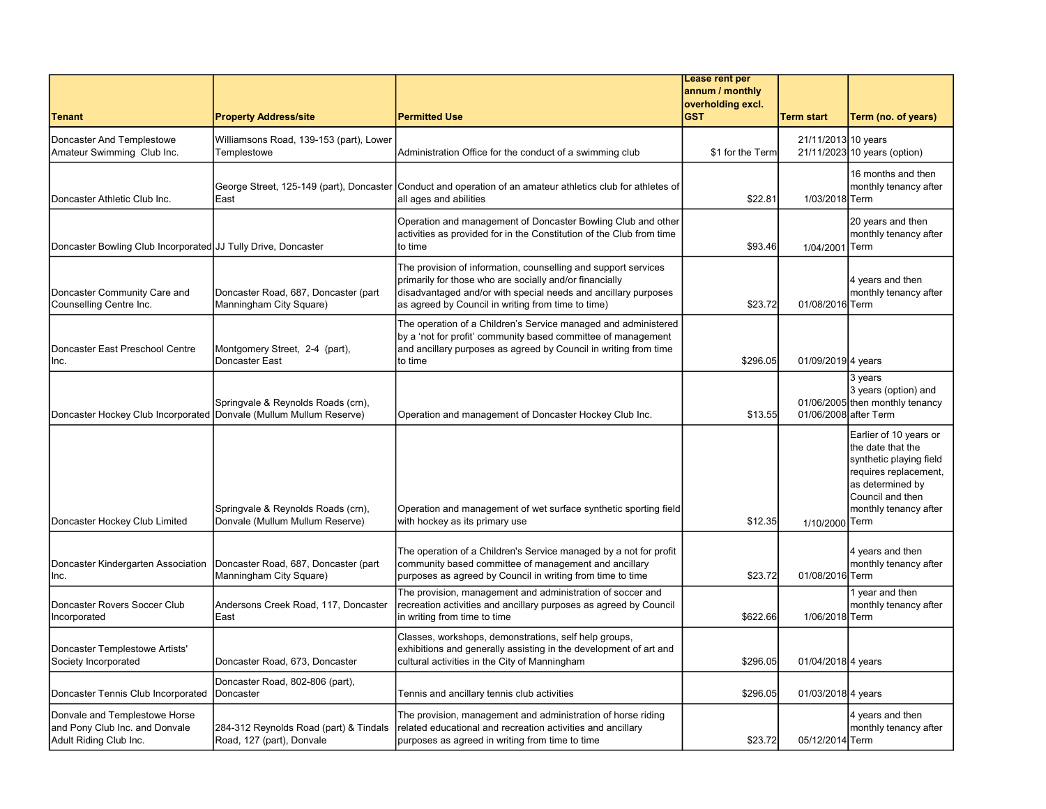|                                                                                           |                                                                       |                                                                                                                                                                                                                                                   | Lease rent per<br>annum / monthly |                       |                                                                                                                                                                          |
|-------------------------------------------------------------------------------------------|-----------------------------------------------------------------------|---------------------------------------------------------------------------------------------------------------------------------------------------------------------------------------------------------------------------------------------------|-----------------------------------|-----------------------|--------------------------------------------------------------------------------------------------------------------------------------------------------------------------|
| <b>Tenant</b>                                                                             | <b>Property Address/site</b>                                          | <b>Permitted Use</b>                                                                                                                                                                                                                              | overholding excl.<br><b>GST</b>   | <b>Term start</b>     | Term (no. of years)                                                                                                                                                      |
| Doncaster And Templestowe<br>Amateur Swimming Club Inc.                                   | Williamsons Road, 139-153 (part), Lower<br>Templestowe                | Administration Office for the conduct of a swimming club                                                                                                                                                                                          | \$1 for the Term                  | 21/11/2013 10 years   | 21/11/2023 10 years (option)                                                                                                                                             |
| Doncaster Athletic Club Inc.                                                              | George Street, 125-149 (part), Doncaster<br>East                      | Conduct and operation of an amateur athletics club for athletes of<br>all ages and abilities                                                                                                                                                      | \$22.81                           | 1/03/2018 Term        | 16 months and then<br>monthly tenancy after                                                                                                                              |
| Doncaster Bowling Club Incorporated JJ Tully Drive, Doncaster                             |                                                                       | Operation and management of Doncaster Bowling Club and other<br>activities as provided for in the Constitution of the Club from time<br>to time                                                                                                   | \$93.46                           | 1/04/2001 Term        | 20 years and then<br>monthly tenancy after                                                                                                                               |
| Doncaster Community Care and<br>Counselling Centre Inc.                                   | Doncaster Road, 687, Doncaster (part<br>Manningham City Square)       | The provision of information, counselling and support services<br>primarily for those who are socially and/or financially<br>disadvantaged and/or with special needs and ancillary purposes<br>as agreed by Council in writing from time to time) | \$23.72                           | 01/08/2016 Term       | 4 years and then<br>monthly tenancy after                                                                                                                                |
| Doncaster East Preschool Centre<br>Inc.                                                   | Montgomery Street, 2-4 (part),<br>Doncaster East                      | The operation of a Children's Service managed and administered<br>by a 'not for profit' community based committee of management<br>and ancillary purposes as agreed by Council in writing from time<br>to time                                    | \$296.05                          | 01/09/2019 4 years    |                                                                                                                                                                          |
| Doncaster Hockey Club Incorporated Donvale (Mullum Mullum Reserve)                        | Springvale & Reynolds Roads (crn),                                    | Operation and management of Doncaster Hockey Club Inc.                                                                                                                                                                                            | \$13.55                           | 01/06/2008 after Term | 3 years<br>3 years (option) and<br>01/06/2005 then monthly tenancy                                                                                                       |
| Doncaster Hockey Club Limited                                                             | Springvale & Reynolds Roads (crn),<br>Donvale (Mullum Mullum Reserve) | Operation and management of wet surface synthetic sporting field<br>with hockey as its primary use                                                                                                                                                | \$12.35                           | 1/10/2000             | Earlier of 10 years or<br>the date that the<br>synthetic playing field<br>requires replacement,<br>as determined by<br>Council and then<br>monthly tenancy after<br>Term |
| Doncaster Kindergarten Association<br>Inc.                                                | Doncaster Road, 687, Doncaster (part<br>Manningham City Square)       | The operation of a Children's Service managed by a not for profit<br>community based committee of management and ancillary<br>purposes as agreed by Council in writing from time to time                                                          | \$23.72                           | 01/08/2016 Term       | 4 years and then<br>monthly tenancy after                                                                                                                                |
| Doncaster Rovers Soccer Club<br>Incorporated                                              | Andersons Creek Road, 117, Doncaster<br>East                          | The provision, management and administration of soccer and<br>recreation activities and ancillary purposes as agreed by Council<br>in writing from time to time                                                                                   | \$622.66                          | 1/06/2018 Term        | 1 year and then<br>monthly tenancy after                                                                                                                                 |
| Doncaster Templestowe Artists'<br>Society Incorporated                                    | Doncaster Road, 673, Doncaster                                        | Classes, workshops, demonstrations, self help groups,<br>exhibitions and generally assisting in the development of art and<br>cultural activities in the City of Manningham                                                                       | \$296.05                          | 01/04/2018 4 years    |                                                                                                                                                                          |
| Doncaster Tennis Club Incorporated                                                        | Doncaster Road, 802-806 (part),<br><b>I</b> Doncaster                 | Tennis and ancillary tennis club activities                                                                                                                                                                                                       | \$296.05                          | 01/03/2018 4 years    |                                                                                                                                                                          |
| Donvale and Templestowe Horse<br>and Pony Club Inc. and Donvale<br>Adult Riding Club Inc. | 284-312 Reynolds Road (part) & Tindals<br>Road, 127 (part), Donvale   | The provision, management and administration of horse riding<br>related educational and recreation activities and ancillary<br>purposes as agreed in writing from time to time                                                                    | \$23.72                           | 05/12/2014 Term       | 4 years and then<br>monthly tenancy after                                                                                                                                |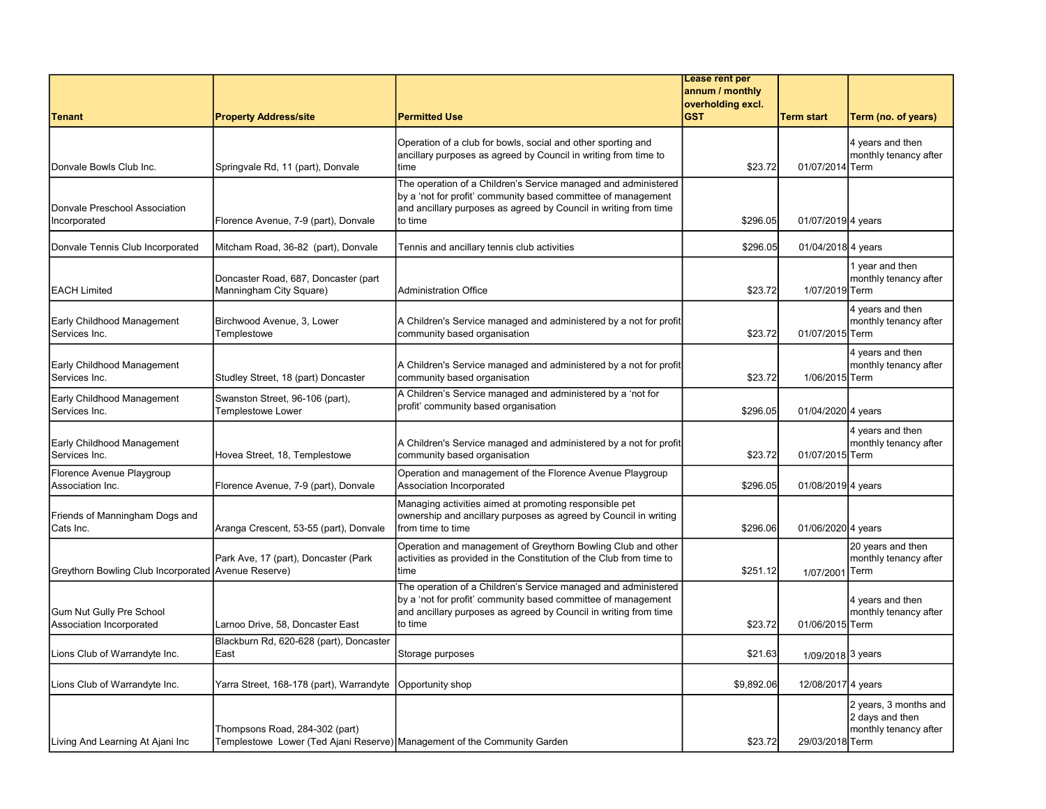|                                                      |                                                                                                            |                                                                                                                                                                                                                | Lease rent per                       |                              |                                                                   |
|------------------------------------------------------|------------------------------------------------------------------------------------------------------------|----------------------------------------------------------------------------------------------------------------------------------------------------------------------------------------------------------------|--------------------------------------|------------------------------|-------------------------------------------------------------------|
|                                                      |                                                                                                            |                                                                                                                                                                                                                | annum / monthly<br>overholding excl. |                              |                                                                   |
| <b>Tenant</b>                                        | <b>Property Address/site</b>                                                                               | <b>Permitted Use</b>                                                                                                                                                                                           | <b>GST</b>                           | Term start                   | Term (no. of years)                                               |
| Donvale Bowls Club Inc.                              | Springvale Rd, 11 (part), Donvale                                                                          | Operation of a club for bowls, social and other sporting and<br>ancillary purposes as agreed by Council in writing from time to<br>time                                                                        | \$23.72                              | 01/07/2014 Term              | 4 years and then<br>monthly tenancy after                         |
| Donvale Preschool Association<br>Incorporated        | Florence Avenue, 7-9 (part), Donvale                                                                       | The operation of a Children's Service managed and administered<br>by a 'not for profit' community based committee of management<br>and ancillary purposes as agreed by Council in writing from time<br>to time | \$296.05                             | 01/07/2019 4 years           |                                                                   |
| Donvale Tennis Club Incorporated                     | Mitcham Road, 36-82 (part), Donvale                                                                        | Tennis and ancillary tennis club activities                                                                                                                                                                    | \$296.05                             | 01/04/2018 4 years           |                                                                   |
| EACH Limited                                         | Doncaster Road, 687, Doncaster (part<br>Manningham City Square)                                            | <b>Administration Office</b>                                                                                                                                                                                   | \$23.72                              | 1/07/2019 Term               | 1 year and then<br>monthly tenancy after                          |
| Early Childhood Management<br>Services Inc.          | Birchwood Avenue, 3, Lower<br>Templestowe                                                                  | A Children's Service managed and administered by a not for profit<br>community based organisation                                                                                                              | \$23.72                              | 01/07/2015 Term              | 4 years and then<br>monthly tenancy after                         |
| Early Childhood Management<br>Services Inc.          | Studley Street, 18 (part) Doncaster                                                                        | A Children's Service managed and administered by a not for profit<br>community based organisation                                                                                                              | \$23.72                              | 1/06/2015 Term               | 4 years and then<br>monthly tenancy after                         |
| Early Childhood Management<br>Services Inc.          | Swanston Street, 96-106 (part),<br>Templestowe Lower                                                       | A Children's Service managed and administered by a 'not for<br>profit' community based organisation                                                                                                            | \$296.05                             | 01/04/2020 4 years           |                                                                   |
| Early Childhood Management<br>Services Inc.          | Hovea Street, 18, Templestowe                                                                              | A Children's Service managed and administered by a not for profit<br>community based organisation                                                                                                              | \$23.72                              | 01/07/2015 Term              | 4 years and then<br>monthly tenancy after                         |
| Florence Avenue Playgroup<br>Association Inc.        | Florence Avenue, 7-9 (part), Donvale                                                                       | Operation and management of the Florence Avenue Playgroup<br>Association Incorporated                                                                                                                          | \$296.05                             | 01/08/2019 4 years           |                                                                   |
| Friends of Manningham Dogs and<br>Cats Inc.          | Aranga Crescent, 53-55 (part), Donvale                                                                     | Managing activities aimed at promoting responsible pet<br>ownership and ancillary purposes as agreed by Council in writing<br>from time to time                                                                | \$296.06                             | 01/06/2020 4 years           |                                                                   |
| Greythorn Bowling Club Incorporated Avenue Reserve)  | Park Ave, 17 (part), Doncaster (Park                                                                       | Operation and management of Greythorn Bowling Club and other<br>activities as provided in the Constitution of the Club from time to<br>time                                                                    | \$251.12                             | 1/07/2001                    | 20 years and then<br>monthly tenancy after<br><b>Term</b>         |
| Gum Nut Gully Pre School<br>Association Incorporated | Larnoo Drive, 58, Doncaster East                                                                           | The operation of a Children's Service managed and administered<br>by a 'not for profit' community based committee of management<br>and ancillary purposes as agreed by Council in writing from time<br>to time | \$23.72                              | 01/06/2015 Term              | 4 years and then<br>monthly tenancy after                         |
| Lions Club of Warrandyte Inc.                        | Blackburn Rd, 620-628 (part), Doncaster<br>East                                                            | Storage purposes                                                                                                                                                                                               | \$21.63                              | 1/09/2018 <sup>3</sup> years |                                                                   |
| Lions Club of Warrandyte Inc.                        | Yarra Street, 168-178 (part), Warrandyte                                                                   | Opportunity shop                                                                                                                                                                                               | \$9,892.06                           | 12/08/2017 4 years           |                                                                   |
| Living And Learning At Ajani Inc                     | Thompsons Road, 284-302 (part)<br>Templestowe Lower (Ted Ajani Reserve) Management of the Community Garden |                                                                                                                                                                                                                | \$23.72                              | 29/03/2018 Term              | 2 years, 3 months and<br>2 days and then<br>monthly tenancy after |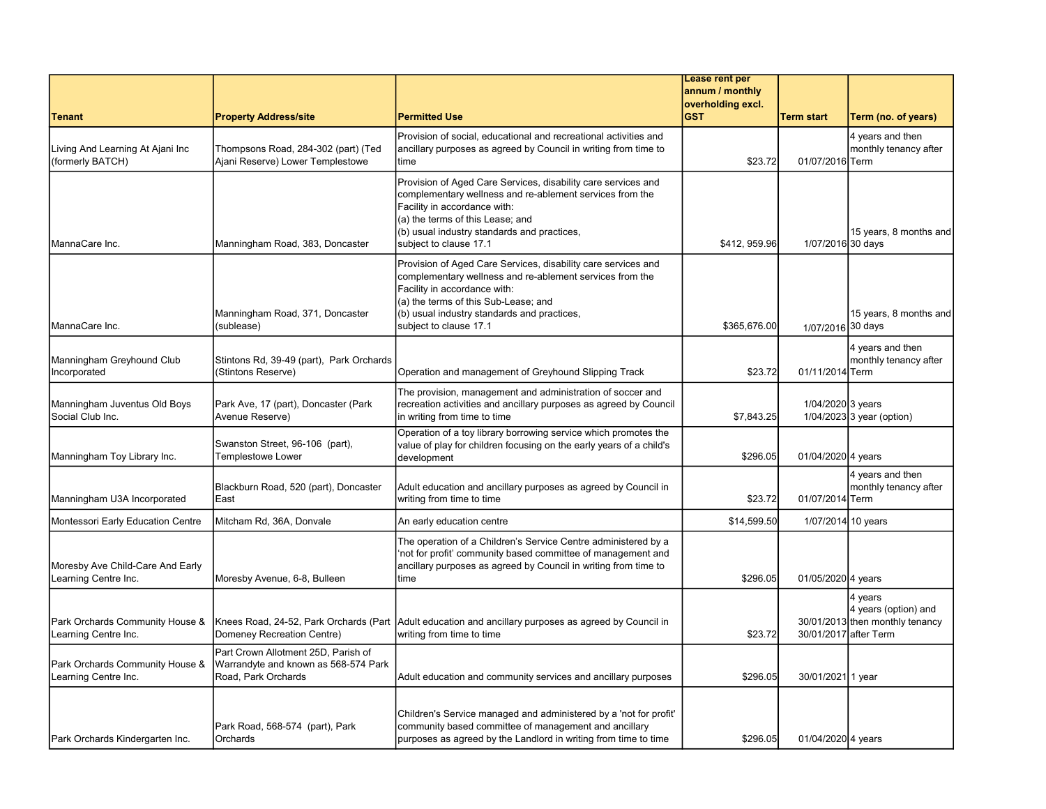|                                                          |                                                                                                    |                                                                                                                                                                                                                                                                            | Lease rent per<br>annum / monthly |                       |                                                                    |
|----------------------------------------------------------|----------------------------------------------------------------------------------------------------|----------------------------------------------------------------------------------------------------------------------------------------------------------------------------------------------------------------------------------------------------------------------------|-----------------------------------|-----------------------|--------------------------------------------------------------------|
| <b>Tenant</b>                                            |                                                                                                    | <b>Permitted Use</b>                                                                                                                                                                                                                                                       | overholding excl.<br><b>GST</b>   | <b>Term start</b>     |                                                                    |
|                                                          | <b>Property Address/site</b>                                                                       | Provision of social, educational and recreational activities and                                                                                                                                                                                                           |                                   |                       | Term (no. of years)<br>4 years and then                            |
| Living And Learning At Ajani Inc<br>(formerly BATCH)     | Thompsons Road, 284-302 (part) (Ted<br>Ajani Reserve) Lower Templestowe                            | ancillary purposes as agreed by Council in writing from time to<br>time                                                                                                                                                                                                    | \$23.72                           | 01/07/2016 Term       | monthly tenancy after                                              |
| MannaCare Inc.                                           | Manningham Road, 383, Doncaster                                                                    | Provision of Aged Care Services, disability care services and<br>complementary wellness and re-ablement services from the<br>Facility in accordance with:<br>(a) the terms of this Lease; and<br>(b) usual industry standards and practices,<br>subject to clause 17.1     | \$412, 959.96                     | 1/07/2016 30 days     | 15 years, 8 months and                                             |
| MannaCare Inc.                                           | Manningham Road, 371, Doncaster<br>(sublease)                                                      | Provision of Aged Care Services, disability care services and<br>complementary wellness and re-ablement services from the<br>Facility in accordance with:<br>(a) the terms of this Sub-Lease; and<br>(b) usual industry standards and practices,<br>subject to clause 17.1 | \$365,676.00                      | 1/07/2016 30 days     | 15 years, 8 months and                                             |
| Manningham Greyhound Club<br>Incorporated                | Stintons Rd, 39-49 (part), Park Orchards<br>(Stintons Reserve)                                     | Operation and management of Greyhound Slipping Track                                                                                                                                                                                                                       | \$23.72                           | 01/11/2014 Term       | 4 years and then<br>monthly tenancy after                          |
| Manningham Juventus Old Boys<br>Social Club Inc.         | Park Ave, 17 (part), Doncaster (Park<br>Avenue Reserve)                                            | The provision, management and administration of soccer and<br>recreation activities and ancillary purposes as agreed by Council<br>in writing from time to time                                                                                                            | \$7,843.25                        | 1/04/2020 3 years     | $1/04/2023$ 3 year (option)                                        |
| Manningham Toy Library Inc.                              | Swanston Street, 96-106 (part),<br><b>Templestowe Lower</b>                                        | Operation of a toy library borrowing service which promotes the<br>value of play for children focusing on the early years of a child's<br>development                                                                                                                      | \$296.05                          | 01/04/2020 4 years    |                                                                    |
| Manningham U3A Incorporated                              | Blackburn Road, 520 (part), Doncaster<br>East                                                      | Adult education and ancillary purposes as agreed by Council in<br>writing from time to time                                                                                                                                                                                | \$23.72                           | 01/07/2014 Term       | 4 years and then<br>monthly tenancy after                          |
| Montessori Early Education Centre                        | Mitcham Rd, 36A, Donvale                                                                           | An early education centre                                                                                                                                                                                                                                                  | \$14,599.50                       | 1/07/2014 10 years    |                                                                    |
| Moresby Ave Child-Care And Early<br>Learning Centre Inc. | Moresby Avenue, 6-8, Bulleen                                                                       | The operation of a Children's Service Centre administered by a<br>'not for profit' community based committee of management and<br>ancillary purposes as agreed by Council in writing from time to<br>time                                                                  | \$296.05                          | 01/05/2020 4 years    |                                                                    |
| Park Orchards Community House &<br>Learning Centre Inc.  | Knees Road, 24-52, Park Orchards (Part<br>Domeney Recreation Centre)                               | Adult education and ancillary purposes as agreed by Council in<br>writing from time to time                                                                                                                                                                                | \$23.72                           | 30/01/2017 after Term | 4 years<br>4 years (option) and<br>30/01/2013 then monthly tenancy |
| Park Orchards Community House &<br>Learning Centre Inc.  | Part Crown Allotment 25D, Parish of<br>Warrandyte and known as 568-574 Park<br>Road, Park Orchards | Adult education and community services and ancillary purposes                                                                                                                                                                                                              | \$296.05                          | 30/01/2021 1 year     |                                                                    |
| Park Orchards Kindergarten Inc.                          | Park Road, 568-574 (part), Park<br>Orchards                                                        | Children's Service managed and administered by a 'not for profit'<br>community based committee of management and ancillary<br>purposes as agreed by the Landlord in writing from time to time                                                                              | \$296.05                          | 01/04/2020 4 years    |                                                                    |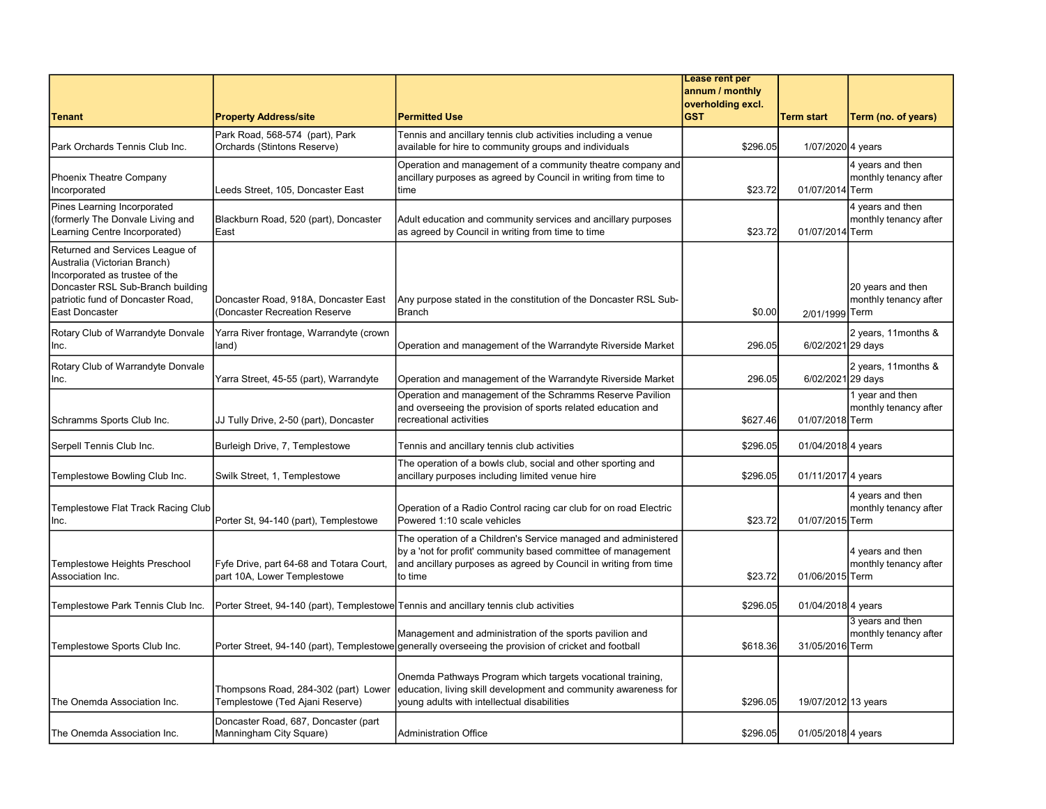|                                                                                                                                                                                               |                                                                         |                                                                                                                                                                                                                | Lease rent per    |                     |                                            |
|-----------------------------------------------------------------------------------------------------------------------------------------------------------------------------------------------|-------------------------------------------------------------------------|----------------------------------------------------------------------------------------------------------------------------------------------------------------------------------------------------------------|-------------------|---------------------|--------------------------------------------|
|                                                                                                                                                                                               |                                                                         |                                                                                                                                                                                                                | annum / monthly   |                     |                                            |
|                                                                                                                                                                                               |                                                                         |                                                                                                                                                                                                                | overholding excl. |                     |                                            |
| <b>Tenant</b>                                                                                                                                                                                 | <b>Property Address/site</b>                                            | <b>Permitted Use</b>                                                                                                                                                                                           | <b>GST</b>        | <b>Term start</b>   | Term (no. of years)                        |
| Park Orchards Tennis Club Inc.                                                                                                                                                                | Park Road, 568-574 (part), Park<br>Orchards (Stintons Reserve)          | Tennis and ancillary tennis club activities including a venue<br>available for hire to community groups and individuals                                                                                        | \$296.05          | 1/07/2020 4 years   |                                            |
| Phoenix Theatre Company<br>Incorporated                                                                                                                                                       | Leeds Street, 105, Doncaster East                                       | Operation and management of a community theatre company and<br>ancillary purposes as agreed by Council in writing from time to<br>time                                                                         | \$23.72           | 01/07/2014 Term     | 4 years and then<br>monthly tenancy after  |
| Pines Learning Incorporated<br>(formerly The Donvale Living and<br>Learning Centre Incorporated)                                                                                              | Blackburn Road, 520 (part), Doncaster<br>East                           | Adult education and community services and ancillary purposes<br>as agreed by Council in writing from time to time                                                                                             | \$23.72           | 01/07/2014 Term     | 4 years and then<br>monthly tenancy after  |
| Returned and Services League of<br>Australia (Victorian Branch)<br>Incorporated as trustee of the<br>Doncaster RSL Sub-Branch building<br>patriotic fund of Doncaster Road,<br>East Doncaster | Doncaster Road, 918A, Doncaster East<br>(Doncaster Recreation Reserve   | Any purpose stated in the constitution of the Doncaster RSL Sub-<br>Branch                                                                                                                                     | \$0.00            | 2/01/1999 Term      | 20 years and then<br>monthly tenancy after |
| Rotary Club of Warrandyte Donvale<br>Inc.                                                                                                                                                     | Yarra River frontage, Warrandyte (crown<br>land)                        | Operation and management of the Warrandyte Riverside Market                                                                                                                                                    | 296.05            | 6/02/2021 29 days   | 2 years, 11 months &                       |
| Rotary Club of Warrandyte Donvale<br>Inc.                                                                                                                                                     | Yarra Street, 45-55 (part), Warrandyte                                  | Operation and management of the Warrandyte Riverside Market                                                                                                                                                    | 296.05            | 6/02/2021 29 days   | 2 years, 11months &                        |
| Schramms Sports Club Inc.                                                                                                                                                                     | JJ Tully Drive, 2-50 (part), Doncaster                                  | Operation and management of the Schramms Reserve Pavilion<br>and overseeing the provision of sports related education and<br>recreational activities                                                           | \$627.46          | 01/07/2018 Term     | 1 year and then<br>monthly tenancy after   |
| Serpell Tennis Club Inc.                                                                                                                                                                      | Burleigh Drive, 7, Templestowe                                          | Tennis and ancillary tennis club activities                                                                                                                                                                    | \$296.05          | 01/04/2018 4 years  |                                            |
| Templestowe Bowling Club Inc.                                                                                                                                                                 | Swilk Street, 1, Templestowe                                            | The operation of a bowls club, social and other sporting and<br>ancillary purposes including limited venue hire                                                                                                | \$296.05          | 01/11/2017 4 years  |                                            |
| Templestowe Flat Track Racing Club<br>Inc.                                                                                                                                                    | Porter St, 94-140 (part), Templestowe                                   | Operation of a Radio Control racing car club for on road Electric<br>Powered 1:10 scale vehicles                                                                                                               | \$23.72           | 01/07/2015 Term     | 4 years and then<br>monthly tenancy after  |
| <b>Templestowe Heights Preschool</b><br>Association Inc.                                                                                                                                      | Fyfe Drive, part 64-68 and Totara Court,<br>part 10A, Lower Templestowe | The operation of a Children's Service managed and administered<br>by a 'not for profit' community based committee of management<br>and ancillary purposes as agreed by Council in writing from time<br>to time | \$23.72           | 01/06/2015 Term     | 4 years and then<br>monthly tenancy after  |
| Templestowe Park Tennis Club Inc.                                                                                                                                                             |                                                                         | Porter Street, 94-140 (part), Templestowe Tennis and ancillary tennis club activities                                                                                                                          | \$296.05          | 01/04/2018 4 years  |                                            |
| Templestowe Sports Club Inc.                                                                                                                                                                  | Porter Street, 94-140 (part), Templestowe                               | Management and administration of the sports pavilion and<br>generally overseeing the provision of cricket and football                                                                                         | \$618.36          | 31/05/2016 Term     | 3 years and then<br>monthly tenancy after  |
| The Onemda Association Inc.                                                                                                                                                                   | Thompsons Road, 284-302 (part) Lower<br>Templestowe (Ted Ajani Reserve) | Onemda Pathways Program which targets vocational training,<br>education, living skill development and community awareness for<br>young adults with intellectual disabilities                                   | \$296.05          | 19/07/2012 13 years |                                            |
| The Onemda Association Inc.                                                                                                                                                                   | Doncaster Road, 687, Doncaster (part<br>Manningham City Square)         | <b>Administration Office</b>                                                                                                                                                                                   | \$296.05          | 01/05/2018 4 years  |                                            |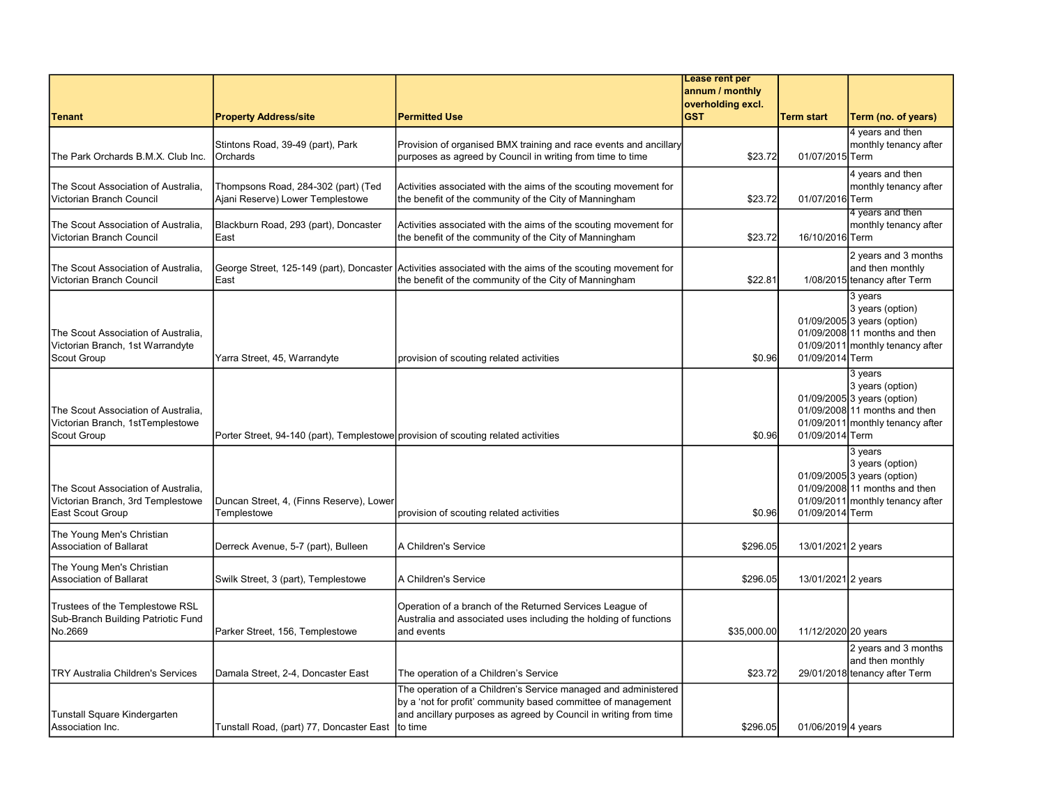|                                                                                               |                                                                                    |                                                                                                                                                                                                                | Lease rent per                       |                     |                                                                                                                                 |
|-----------------------------------------------------------------------------------------------|------------------------------------------------------------------------------------|----------------------------------------------------------------------------------------------------------------------------------------------------------------------------------------------------------------|--------------------------------------|---------------------|---------------------------------------------------------------------------------------------------------------------------------|
|                                                                                               |                                                                                    |                                                                                                                                                                                                                | annum / monthly<br>overholding excl. |                     |                                                                                                                                 |
| <b>Tenant</b>                                                                                 | <b>Property Address/site</b>                                                       | <b>Permitted Use</b>                                                                                                                                                                                           | <b>GST</b>                           | <b>Term start</b>   | Term (no. of years)                                                                                                             |
| The Park Orchards B.M.X. Club Inc.                                                            | Stintons Road, 39-49 (part), Park<br><b>Orchards</b>                               | Provision of organised BMX training and race events and ancillary<br>purposes as agreed by Council in writing from time to time                                                                                | \$23.72                              | 01/07/2015 Term     | 4 years and then<br>monthly tenancy after                                                                                       |
| The Scout Association of Australia.<br>Victorian Branch Council                               | Thompsons Road, 284-302 (part) (Ted<br>Ajani Reserve) Lower Templestowe            | Activities associated with the aims of the scouting movement for<br>the benefit of the community of the City of Manningham                                                                                     | \$23.72                              | 01/07/2016 Term     | 4 years and then<br>monthly tenancy after                                                                                       |
| The Scout Association of Australia.<br>Victorian Branch Council                               | Blackburn Road, 293 (part), Doncaster<br>East                                      | Activities associated with the aims of the scouting movement for<br>the benefit of the community of the City of Manningham                                                                                     | \$23.72                              | 16/10/2016 Term     | 4 years and then<br>monthly tenancy after                                                                                       |
| The Scout Association of Australia,<br>Victorian Branch Council                               | George Street, 125-149 (part), Doncaster<br>East                                   | Activities associated with the aims of the scouting movement for<br>the benefit of the community of the City of Manningham                                                                                     | \$22.81                              |                     | 2 years and 3 months<br>and then monthly<br>1/08/2015 tenancy after Term                                                        |
| The Scout Association of Australia,<br>Victorian Branch, 1st Warrandyte<br><b>Scout Group</b> | Yarra Street, 45, Warrandyte                                                       | provision of scouting related activities                                                                                                                                                                       | \$0.96                               | 01/09/2014 Term     | 3 years<br>3 years (option)<br>01/09/2005 3 years (option)<br>01/09/2008 11 months and then<br>01/09/2011 monthly tenancy after |
| The Scout Association of Australia,<br>Victorian Branch, 1stTemplestowe<br><b>Scout Group</b> | Porter Street, 94-140 (part), Templestowe provision of scouting related activities |                                                                                                                                                                                                                | \$0.96                               | 01/09/2014 Term     | 3 years<br>3 years (option)<br>01/09/2005 3 years (option)<br>01/09/2008 11 months and then<br>01/09/2011 monthly tenancy after |
| The Scout Association of Australia,<br>Victorian Branch, 3rd Templestowe<br>East Scout Group  | Duncan Street, 4, (Finns Reserve), Lower<br>Templestowe                            | provision of scouting related activities                                                                                                                                                                       | \$0.96                               | 01/09/2014 Term     | 3 years<br>3 years (option)<br>01/09/2005 3 years (option)<br>01/09/2008 11 months and then<br>01/09/2011 monthly tenancy after |
| The Young Men's Christian<br>Association of Ballarat                                          | Derreck Avenue, 5-7 (part), Bulleen                                                | A Children's Service                                                                                                                                                                                           | \$296.05                             | 13/01/2021 2 years  |                                                                                                                                 |
| The Young Men's Christian<br>Association of Ballarat                                          | Swilk Street, 3 (part), Templestowe                                                | A Children's Service                                                                                                                                                                                           | \$296.05                             | 13/01/2021 2 years  |                                                                                                                                 |
| Trustees of the Templestowe RSL<br>Sub-Branch Building Patriotic Fund<br>No.2669              | Parker Street, 156, Templestowe                                                    | Operation of a branch of the Returned Services League of<br>Australia and associated uses including the holding of functions<br>and events                                                                     | \$35,000.00                          | 11/12/2020 20 years |                                                                                                                                 |
| <b>TRY Australia Children's Services</b>                                                      | Damala Street, 2-4, Doncaster East                                                 | The operation of a Children's Service                                                                                                                                                                          | \$23.72                              |                     | 2 years and 3 months<br>and then monthly<br>29/01/2018 tenancy after Term                                                       |
| Tunstall Square Kindergarten<br>Association Inc.                                              | Tunstall Road, (part) 77, Doncaster East                                           | The operation of a Children's Service managed and administered<br>by a 'not for profit' community based committee of management<br>and ancillary purposes as agreed by Council in writing from time<br>to time | \$296.05                             | 01/06/2019 4 years  |                                                                                                                                 |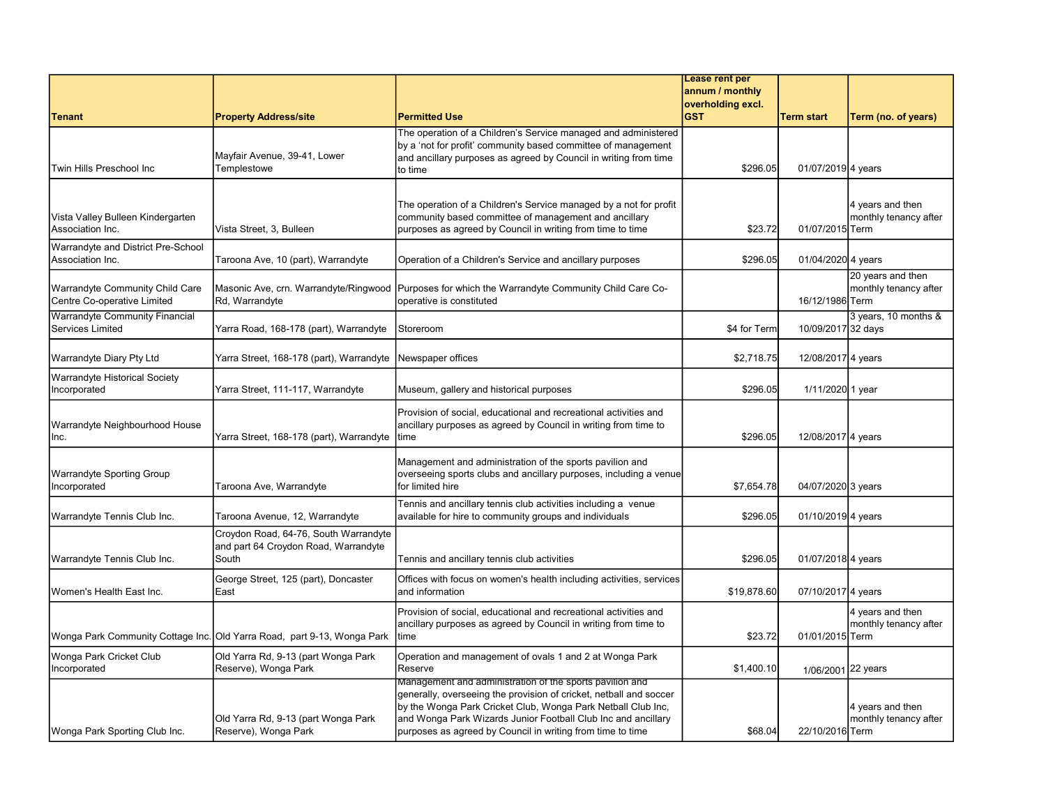|                                                                |                                                                                        |                                                                                                                                                                                                                                                                                                                               | Lease rent per                       |                    |                                            |
|----------------------------------------------------------------|----------------------------------------------------------------------------------------|-------------------------------------------------------------------------------------------------------------------------------------------------------------------------------------------------------------------------------------------------------------------------------------------------------------------------------|--------------------------------------|--------------------|--------------------------------------------|
|                                                                |                                                                                        |                                                                                                                                                                                                                                                                                                                               | annum / monthly<br>overholding excl. |                    |                                            |
| <b>Tenant</b>                                                  | <b>Property Address/site</b>                                                           | <b>Permitted Use</b>                                                                                                                                                                                                                                                                                                          | <b>GST</b>                           | <b>Term start</b>  | Term (no. of years)                        |
| Twin Hills Preschool Inc                                       | Mayfair Avenue, 39-41, Lower<br>Templestowe                                            | The operation of a Children's Service managed and administered<br>by a 'not for profit' community based committee of management<br>and ancillary purposes as agreed by Council in writing from time<br>to time                                                                                                                | \$296.05                             | 01/07/2019 4 years |                                            |
| Vista Valley Bulleen Kindergarten<br>Association Inc.          | Vista Street, 3, Bulleen                                                               | The operation of a Children's Service managed by a not for profit<br>community based committee of management and ancillary<br>purposes as agreed by Council in writing from time to time                                                                                                                                      | \$23.72                              | 01/07/2015 Term    | 4 years and then<br>monthly tenancy after  |
| Warrandyte and District Pre-School<br>Association Inc.         | Taroona Ave, 10 (part), Warrandyte                                                     | Operation of a Children's Service and ancillary purposes                                                                                                                                                                                                                                                                      | \$296.05                             | 01/04/2020 4 years |                                            |
| Warrandyte Community Child Care<br>Centre Co-operative Limited | Masonic Ave, crn. Warrandyte/Ringwood<br>Rd, Warrandyte                                | Purposes for which the Warrandyte Community Child Care Co-<br>operative is constituted                                                                                                                                                                                                                                        |                                      | 16/12/1986 Term    | 20 years and then<br>monthly tenancy after |
| Warrandyte Community Financial<br><b>Services Limited</b>      | Yarra Road, 168-178 (part), Warrandyte                                                 | Storeroom                                                                                                                                                                                                                                                                                                                     | \$4 for Term                         | 10/09/2017 32 days | 3 years, 10 months &                       |
| Warrandyte Diary Pty Ltd                                       | Yarra Street, 168-178 (part), Warrandyte                                               | Newspaper offices                                                                                                                                                                                                                                                                                                             | \$2,718.75                           | 12/08/2017 4 years |                                            |
| Warrandyte Historical Society<br>Incorporated                  | Yarra Street, 111-117, Warrandyte                                                      | Museum, gallery and historical purposes                                                                                                                                                                                                                                                                                       | \$296.05                             | 1/11/2020 1 year   |                                            |
| Warrandyte Neighbourhood House<br>lnc.                         | Yarra Street, 168-178 (part), Warrandyte                                               | Provision of social, educational and recreational activities and<br>ancillary purposes as agreed by Council in writing from time to<br>ltime                                                                                                                                                                                  | \$296.05                             | 12/08/2017 4 years |                                            |
| <b>Warrandyte Sporting Group</b><br>Incorporated               | Taroona Ave, Warrandyte                                                                | Management and administration of the sports pavilion and<br>overseeing sports clubs and ancillary purposes, including a venue<br>for limited hire                                                                                                                                                                             | \$7,654.78                           | 04/07/2020 3 years |                                            |
| Warrandyte Tennis Club Inc.                                    | Taroona Avenue, 12, Warrandyte                                                         | Tennis and ancillary tennis club activities including a venue<br>available for hire to community groups and individuals                                                                                                                                                                                                       | \$296.05                             | 01/10/2019 4 years |                                            |
| Warrandyte Tennis Club Inc.                                    | Croydon Road, 64-76, South Warrandyte<br>and part 64 Croydon Road, Warrandyte<br>South | Tennis and ancillary tennis club activities                                                                                                                                                                                                                                                                                   | \$296.05                             | 01/07/2018 4 years |                                            |
| Women's Health East Inc.                                       | George Street, 125 (part), Doncaster<br>East                                           | Offices with focus on women's health including activities, services<br>and information                                                                                                                                                                                                                                        | \$19,878.60                          | 07/10/2017 4 years |                                            |
|                                                                | Wonga Park Community Cottage Inc. Old Yarra Road, part 9-13, Wonga Park                | Provision of social, educational and recreational activities and<br>ancillary purposes as agreed by Council in writing from time to<br>time                                                                                                                                                                                   | \$23.72                              | 01/01/2015 Term    | 4 years and then<br>monthly tenancy after  |
| Wonga Park Cricket Club<br>Incorporated                        | Old Yarra Rd, 9-13 (part Wonga Park<br>Reserve), Wonga Park                            | Operation and management of ovals 1 and 2 at Wonga Park<br>Reserve                                                                                                                                                                                                                                                            | \$1,400.10                           | 1/06/2001 22 years |                                            |
| Wonga Park Sporting Club Inc.                                  | Old Yarra Rd, 9-13 (part Wonga Park<br>Reserve), Wonga Park                            | Management and administration of the sports pavilion and<br>generally, overseeing the provision of cricket, netball and soccer<br>by the Wonga Park Cricket Club, Wonga Park Netball Club Inc,<br>and Wonga Park Wizards Junior Football Club Inc and ancillary<br>purposes as agreed by Council in writing from time to time | \$68.04                              | 22/10/2016 Term    | 4 years and then<br>monthly tenancy after  |